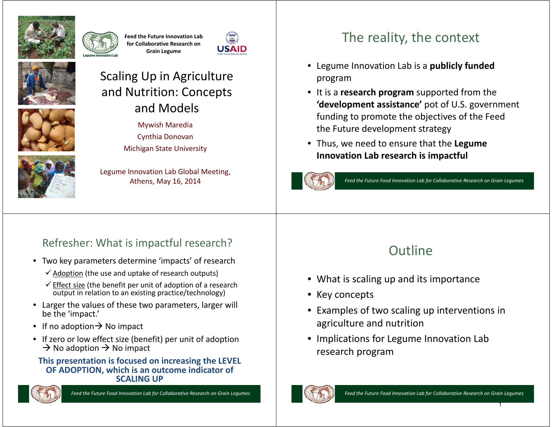

**Feed the Future Innovation Lab for Collaborative Research on Grain Legume**





## Scaling Up in Agriculture and Nutrition: Concepts and Models

Mywish Maredia Cynthia Donovan Michigan State University



Legume Innovation Lab Global Meeting, Athens, May 16, 2014

## The reality, the context

- Legume Innovation Lab is a **publicly funded** program
- It is a **research program** supported from the **'development assistance'** pot of U.S. government funding to promote the objectives of the Feed the Future development strategy
- Thus, we need to ensure that the **Legume Innovation Lab research is impactful**



*Feed the Future Food Innovation Lab for Collaborative Research on Grain Legumes*

### Refresher: What is impactful research?

- Two key parameters determine 'impacts' of research
	- $\checkmark$  Adoption (the use and uptake of research outputs)
	- $\checkmark$  Effect size (the benefit per unit of adoption of a research output in relation to an existing practice/technology)
- Larger the values of these two parameters, larger will be the 'impact.'
- If no adoption $\rightarrow$  No impact
- If zero or low effect size (benefit) per unit of adoption  $\rightarrow$  No adoption  $\rightarrow$  No impact

#### **This presentation is focused on increasing the LEVEL OF ADOPTION, which is an outcome indicator of SCALING UP**



*Feed the Future Food Innovation Lab for Collaborative Research on Grain Legumes*

### **Outline**

- What is scaling up and its importance
- Key concepts
- Examples of two scaling up interventions in agriculture and nutrition
- Implications for Legume Innovation Lab research program



1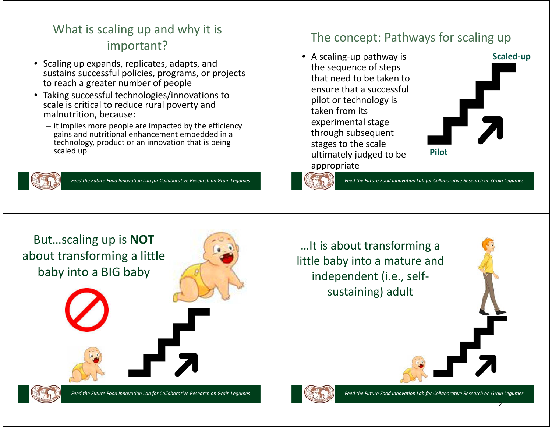## What is scaling up and why it is important?

- Scaling up expands, replicates, adapts, and sustains successful policies, programs, or projects to reach a greater number of people
- Taking successful technologies/innovations to scale is critical to reduce rural poverty and malnutrition, because:
	- it implies more people are impacted by the efficiency gains and nutritional enhancement embedded in a technology, product or an innovation that is being scaled up



*Feed the Future Food Innovation Lab for Collaborative Research on Grain Legumes*

### The concept: Pathways for scaling up

• A scaling-up pathway is the sequence of steps that need to be taken to ensure that a successful pilot or technology is taken from its experimental stage through subsequent stages to the scale ultimately judged to be appropriate





*Feed the Future Food Innovation Lab for Collaborative Research on Grain Legumes*

But…scaling up is **NOT** about transforming a little baby into a BIG baby





*Feed the Future Food Innovation Lab for Collaborative Research on Grain Legumes*

…It is about transforming a little baby into a mature and independent (i.e., selfsustaining) adult



*Feed the Future Food Innovation Lab for Collaborative Research on Grain Legumes*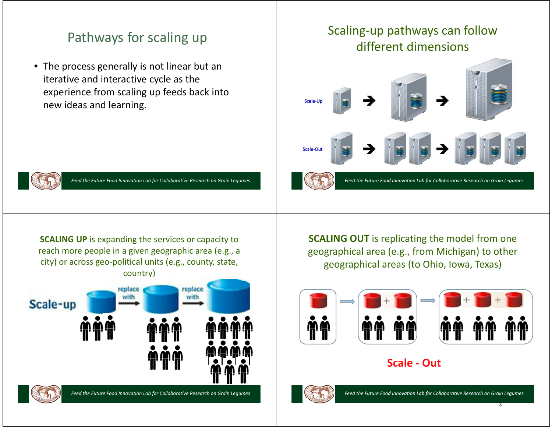## Pathways for scaling up

• The process generally is not linear but an iterative and interactive cycle as the experience from scaling up feeds back into new ideas and learning.

### Scaling-up pathways can follow different dimensions





*Feed the Future Food Innovation Lab for Collaborative Research on Grain Legumes*

**SCALING UP** is expanding the services or capacity to reach more people in a given geographic area (e.g., a city) or across geo-political units (e.g., county, state, country)



*Feed the Future Food Innovation Lab for Collaborative Research on Grain Legumes*

**SCALING OUT** is replicating the model from one geographical area (e.g., from Michigan) to other geographical areas (to Ohio, Iowa, Texas)



**Scale - Out**

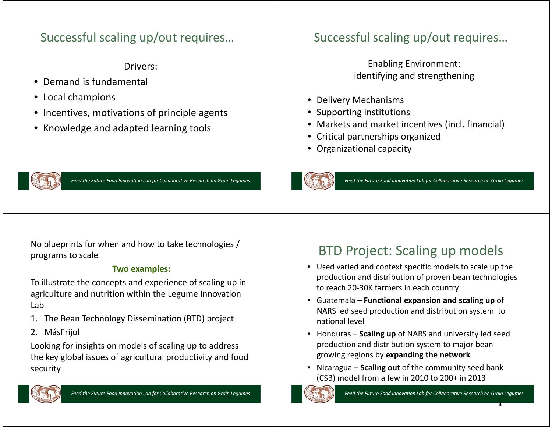### Successful scaling up/out requires…

Drivers:

- Demand is fundamental
- Local champions
- Incentives, motivations of principle agents
- Knowledge and adapted learning tools

## Successful scaling up/out requires…

Enabling Environment: identifying and strengthening

- Delivery Mechanisms
- Supporting institutions
- Markets and market incentives (incl. financial)

*Feed the Future Food Innovation Lab for Collaborative Research on Grain Legumes*

- Critical partnerships organized
- Organizational capacity



*Feed the Future Food Innovation Lab for Collaborative Research on Grain Legumes*

#### No blueprints for when and how to take technologies / programs to scale

#### **Two examples:**

To illustrate the concepts and experience of scaling up in agriculture and nutrition within the Legume Innovation Lab

1. The Bean Technology Dissemination (BTD) project

2. MásFrijol

Looking for insights on models of scaling up to address the key global issues of agricultural productivity and food security

## BTD Project: Scaling up models

- Used varied and context specific models to scale up the production and distribution of proven bean technologies to reach 20-30K farmers in each country
- Guatemala **Functional expansion and scaling up** of NARS led seed production and distribution system to national level
- Honduras **Scaling up** of NARS and university led seed production and distribution system to major bean growing regions by **expanding the network**
- Nicaragua **Scaling out** of the community seed bank (CSB) model from a few in 2010 to 200+ in 2013



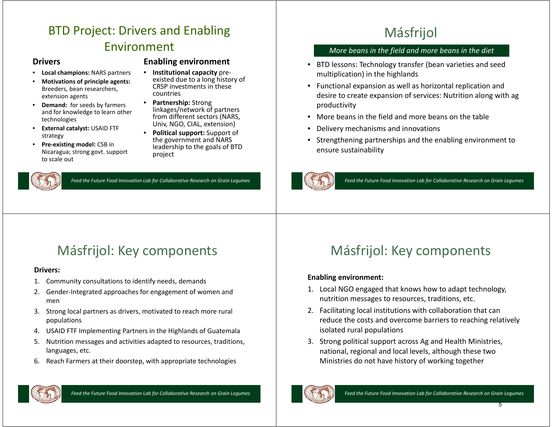### BTD Project: Drivers and Enabling Environment

#### **Drivers**

- •**Local champions:** NARS partners
- • **Motivations of principle agents:** Breeders, bean researchers, extension agents
- • **Demand:** for seeds by farmers and for knowledge to learn other technologies
- • **External catalyst:** USAID FTF strategy
- **Pre-existing model:** CSB in Nicaragua; strong govt. support to scale out

#### **Enabling environment**

- **Institutional capacity** preexisted due to a long history of CRSP investments in these countries
- • **Partnership:** Strong linkages/network of partners from different sectors (NARS, Univ, NGO, CIAL, extension)
- • **Political support:** Support of the government and NARS leadership to the goals of BTD project



*Feed the Future Food Innovation Lab for Collaborative Research on Grain Legumes*

# Másfrijol

#### *More beans in the field and more beans in the diet*

- BTD lessons: Technology transfer (bean varieties and seed multiplication) in the highlands
- Functional expansion as well as horizontal replication and desire to create expansion of services: Nutrition along with ag productivity
- •More beans in the field and more beans on the table
- •Delivery mechanisms and innovations
- • Strengthening partnerships and the enabling environment to ensure sustainability



*Feed the Future Food Innovation Lab for Collaborative Research on Grain Legumes*

# Másfrijol: Key components

#### **Drivers:**

- 1. Community consultations to identify needs, demands
- 2. Gender-Integrated approaches for engagement of women and men
- 3. Strong local partners as drivers, motivated to reach more rural populations
- 4. USAID FTF Implementing Partners in the Highlands of Guatemala
- 5. Nutrition messages and activities adapted to resources, traditions, languages, etc.
- 6. Reach Farmers at their doorstep, with appropriate technologies

# Másfrijol: Key components

#### **Enabling environment:**

- 1. Local NGO engaged that knows how to adapt technology, nutrition messages to resources, traditions, etc.
- 2. Facilitating local institutions with collaboration that can reduce the costs and overcome barriers to reaching relatively isolated rural populations
- 3. Strong political support across Ag and Health Ministries, national, regional and local levels, although these two Ministries do not have history of working together



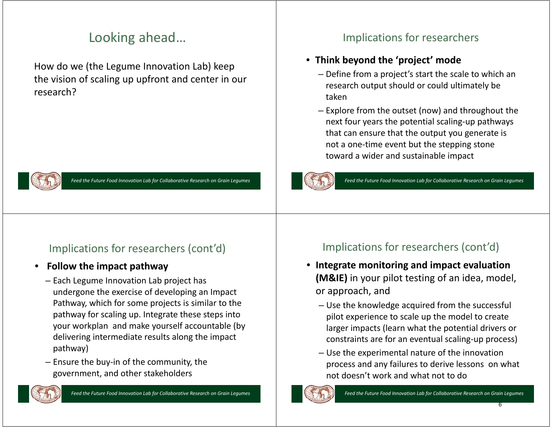## Looking ahead…

How do we (the Legume Innovation Lab) keep the vision of scaling up upfront and center in our research?



*Feed the Future Food Innovation Lab for Collaborative Research on Grain Legumes*

### Implications for researchers (cont'd)

#### •**Follow the impact pathway**

- Each Legume Innovation Lab project has undergone the exercise of developing an Impact Pathway, which for some projects is similar to the pathway for scaling up. Integrate these steps into your workplan and make yourself accountable (by delivering intermediate results along the impact pathway)
- Ensure the buy-in of the community, the government, and other stakeholders



*Feed the Future Food Innovation Lab for Collaborative Research on Grain Legumes*

### Implications for researchers

### • **Think beyond the 'project' mode**

- Define from a project's start the scale to which an research output should or could ultimately be taken
- Explore from the outset (now) and throughout the next four years the potential scaling-up pathways that can ensure that the output you generate is not a one-time event but the stepping stone toward a wider and sustainable impact



*Feed the Future Food Innovation Lab for Collaborative Research on Grain Legumes*

### Implications for researchers (cont'd)

- **Integrate monitoring and impact evaluation (M&IE)** in your pilot testing of an idea, model, or approach, and
	- Use the knowledge acquired from the successful pilot experience to scale up the model to create larger impacts (learn what the potential drivers or constraints are for an eventual scaling-up process)
	- Use the experimental nature of the innovation process and any failures to derive lessons on what not doesn't work and what not to do